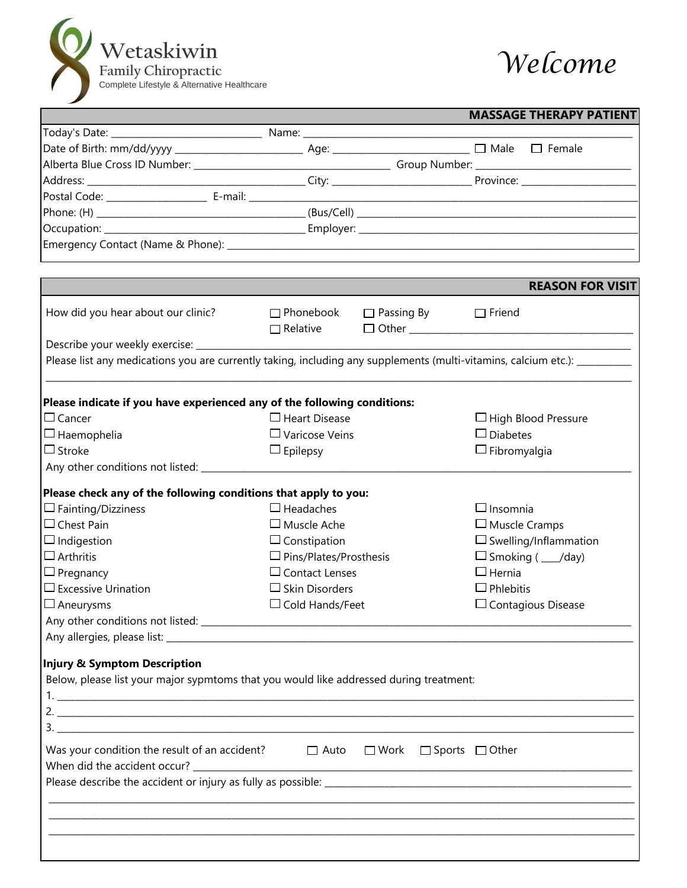



|                                                                                        |                                    | <b>MASSAGE THERAPY PATIENT</b>                                                                                             |
|----------------------------------------------------------------------------------------|------------------------------------|----------------------------------------------------------------------------------------------------------------------------|
|                                                                                        |                                    |                                                                                                                            |
|                                                                                        |                                    |                                                                                                                            |
|                                                                                        |                                    |                                                                                                                            |
|                                                                                        |                                    |                                                                                                                            |
|                                                                                        |                                    |                                                                                                                            |
|                                                                                        |                                    |                                                                                                                            |
|                                                                                        |                                    |                                                                                                                            |
|                                                                                        |                                    |                                                                                                                            |
|                                                                                        |                                    |                                                                                                                            |
|                                                                                        |                                    |                                                                                                                            |
|                                                                                        |                                    | <b>REASON FOR VISIT</b>                                                                                                    |
| How did you hear about our clinic?                                                     | $\Box$ Phonebook $\Box$ Passing By | $\Box$ Friend<br>$\Box$ Relative $\Box$ Other $\Box$ Other $\Box$                                                          |
| Describe your weekly exercise: ____________                                            |                                    |                                                                                                                            |
|                                                                                        |                                    | Please list any medications you are currently taking, including any supplements (multi-vitamins, calcium etc.): __________ |
|                                                                                        |                                    |                                                                                                                            |
| Please indicate if you have experienced any of the following conditions:               |                                    |                                                                                                                            |
| $\Box$ Cancer                                                                          | $\Box$ Heart Disease               | $\Box$ High Blood Pressure                                                                                                 |
| $\Box$ Haemophelia                                                                     | $\Box$ Varicose Veins              | $\Box$ Diabetes                                                                                                            |
| $\Box$ Stroke                                                                          | $\Box$ Epilepsy                    | $\Box$ Fibromyalgia                                                                                                        |
|                                                                                        |                                    |                                                                                                                            |
|                                                                                        |                                    |                                                                                                                            |
| Please check any of the following conditions that apply to you:                        |                                    |                                                                                                                            |
| $\Box$ Fainting/Dizziness                                                              | $\Box$ Headaches                   | $\Box$ Insomnia                                                                                                            |
| $\Box$ Chest Pain                                                                      | $\Box$ Muscle Ache                 | $\Box$ Muscle Cramps                                                                                                       |
| $\Box$ Indigestion                                                                     | $\Box$ Constipation                | $\Box$ Swelling/Inflammation                                                                                               |
| $\Box$ Arthritis                                                                       | $\Box$ Pins/Plates/Prosthesis      | $\Box$ Smoking ( $\Box$ /day)                                                                                              |
| $\Box$ Pregnancy                                                                       | $\Box$ Contact Lenses              | $\Box$ Hernia                                                                                                              |
| $\Box$ Excessive Urination                                                             | $\Box$ Skin Disorders              | $\Box$ Phlebitis                                                                                                           |
| $\Box$ Aneurysms                                                                       | $\Box$ Cold Hands/Feet             | $\Box$ Contagious Disease                                                                                                  |
|                                                                                        |                                    |                                                                                                                            |
|                                                                                        |                                    |                                                                                                                            |
|                                                                                        |                                    |                                                                                                                            |
| <b>Injury &amp; Symptom Description</b>                                                |                                    |                                                                                                                            |
| Below, please list your major sypmtoms that you would like addressed during treatment: |                                    |                                                                                                                            |
|                                                                                        |                                    |                                                                                                                            |
|                                                                                        |                                    |                                                                                                                            |
|                                                                                        |                                    |                                                                                                                            |
| Was your condition the result of an accident?                                          | $\Box$ Auto                        | $\Box$ Work $\Box$ Sports $\Box$ Other                                                                                     |
| When did the accident occur?                                                           |                                    |                                                                                                                            |
|                                                                                        |                                    |                                                                                                                            |
|                                                                                        |                                    |                                                                                                                            |
|                                                                                        |                                    |                                                                                                                            |
|                                                                                        |                                    |                                                                                                                            |
|                                                                                        |                                    |                                                                                                                            |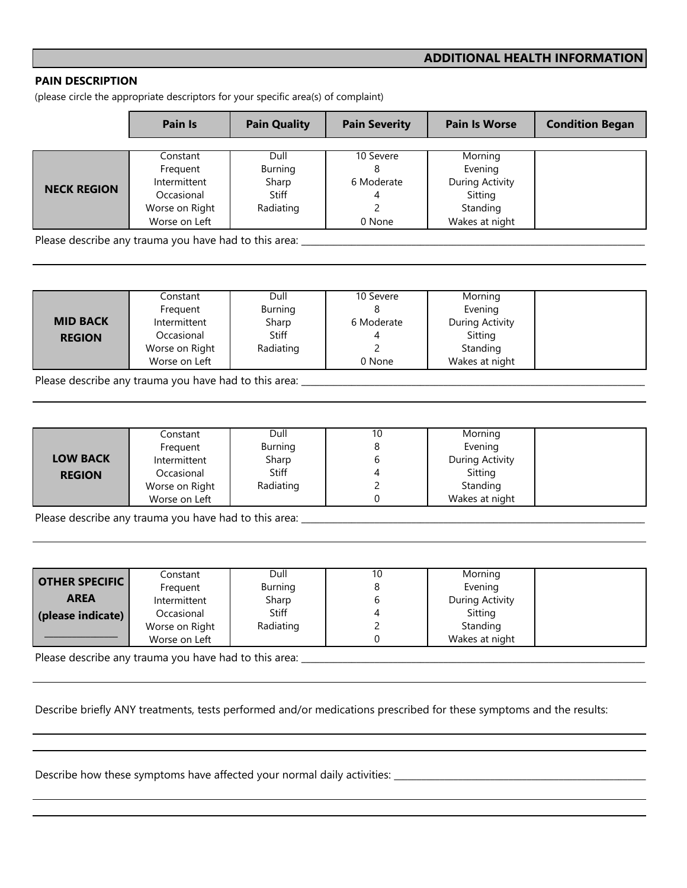## **ADDITIONAL HEALTH INFORMATION**

## **PAIN DESCRIPTION**

(please circle the appropriate descriptors for your specific area(s) of complaint)

|                    | Pain Is        | <b>Pain Quality</b> | <b>Pain Severity</b> | <b>Pain Is Worse</b> | <b>Condition Began</b> |
|--------------------|----------------|---------------------|----------------------|----------------------|------------------------|
|                    |                |                     |                      |                      |                        |
|                    | Constant       | Dull                | 10 Severe            | Morning              |                        |
|                    | Frequent       | Burning             |                      | Evening              |                        |
|                    | Intermittent   | Sharp               | 6 Moderate           | During Activity      |                        |
| <b>NECK REGION</b> | Occasional     | Stiff               | 4                    | Sitting              |                        |
|                    | Worse on Right | Radiating           |                      | Standing             |                        |
|                    | Worse on Left  |                     | 0 None               | Wakes at night       |                        |

Please describe any trauma you have had to this area: \_\_\_\_\_\_\_\_\_\_\_\_\_\_\_\_\_\_\_\_\_\_\_\_\_\_\_\_\_\_\_\_\_\_\_\_\_\_\_\_\_\_\_\_\_\_\_\_\_\_\_\_\_\_\_\_\_\_\_\_\_\_\_\_\_\_\_\_\_\_\_\_\_\_\_

|                 | Constant       | Dull           | 10 Severe  | Morning         |
|-----------------|----------------|----------------|------------|-----------------|
|                 | Frequent       | <b>Burning</b> |            | Evening         |
| <b>MID BACK</b> | Intermittent   | Sharp          | 6 Moderate | During Activity |
| <b>REGION</b>   | Occasional     | <b>Stiff</b>   |            | Sitting         |
|                 | Worse on Right | Radiating      |            | Standing        |
|                 | Worse on Left  |                | 0 None     | Wakes at night  |

Please describe any trauma you have had to this area: \_\_\_\_\_\_\_\_\_\_\_\_\_\_\_\_\_\_\_\_\_\_\_\_\_\_\_\_\_\_\_\_\_\_\_\_\_\_\_\_\_\_\_\_\_\_\_\_\_\_\_\_\_\_\_\_\_\_\_\_\_\_\_\_\_\_\_\_\_\_\_\_\_\_\_

|                 | Constant       | Dull           | 10 | Morning         |  |
|-----------------|----------------|----------------|----|-----------------|--|
|                 | Frequent       | <b>Burning</b> |    | Evening         |  |
| <b>LOW BACK</b> | Intermittent   | Sharp          |    | During Activity |  |
| <b>REGION</b>   | Occasional     | <b>Stiff</b>   |    | Sitting         |  |
|                 | Worse on Right | Radiating      |    | Standing        |  |
|                 | Worse on Left  |                |    | Wakes at night  |  |

Please describe any trauma you have had to this area: \_\_\_\_\_\_\_\_\_\_\_\_\_\_\_\_\_\_\_\_\_\_\_\_\_\_\_\_\_\_\_\_\_\_\_\_\_\_\_\_\_\_\_\_\_\_\_\_\_\_\_\_\_\_\_\_\_\_\_\_\_\_\_\_\_\_\_\_\_\_\_\_\_\_\_

| <b>OTHER SPECIFIC</b> | Constant       | Dull         | 10 | Morning         |
|-----------------------|----------------|--------------|----|-----------------|
|                       | Frequent       | Burning      |    | Evening         |
| <b>AREA</b>           | Intermittent   | Sharp        |    | During Activity |
| (please indicate)     | Occasional     | <b>Stiff</b> |    | Sitting         |
|                       | Worse on Right | Radiating    |    | Standing        |
|                       | Worse on Left  |              |    | Wakes at night  |

Please describe any trauma you have had to this area: \_\_\_\_\_\_\_\_\_\_\_\_\_\_\_\_\_\_\_\_\_\_\_\_\_\_\_\_\_\_\_\_\_\_\_\_\_\_\_\_\_\_\_\_\_\_\_\_\_\_\_\_\_\_\_\_\_\_\_\_\_\_\_\_\_\_\_\_\_\_\_\_\_\_\_

Describe briefly ANY treatments, tests performed and/or medications prescribed for these symptoms and the results:

Describe how these symptoms have affected your normal daily activities: \_\_\_\_\_\_\_\_\_\_\_\_\_\_\_\_\_\_\_\_\_\_\_\_\_\_\_\_\_\_\_\_\_\_\_\_\_\_\_\_\_\_\_\_\_\_\_\_\_\_\_\_\_\_\_